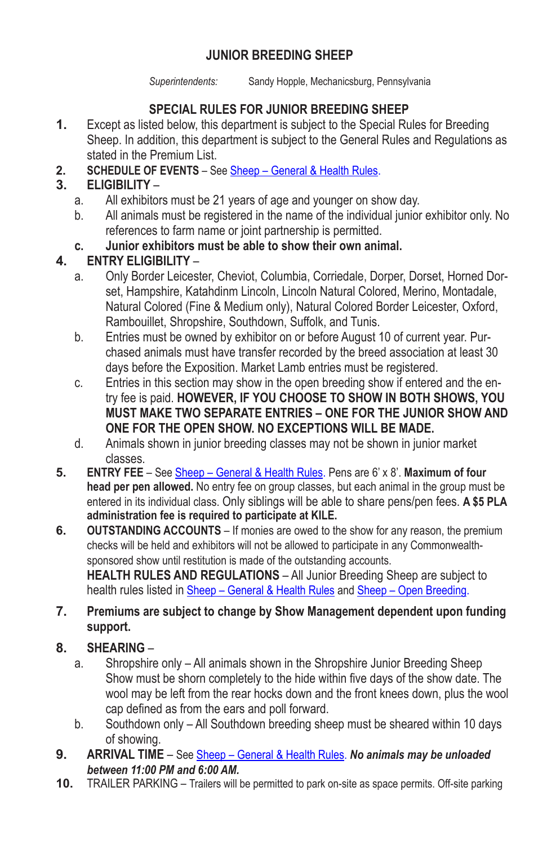## **JUNIOR BREEDING SHEEP**

*Superintendents:* Sandy Hopple, Mechanicsburg, Pennsylvania

# **SPECIAL RULES FOR JUNIOR BREEDING SHEEP**

- **1.** Except as listed below, this department is subject to the Special Rules for Breeding Sheep. In addition, this department is subject to the General Rules and Regulations as stated in the Premium List.
- **2. SCHEDULE OF EVENTS** See Sheep General & Health Rules.

# **3. ELIGIBILITY** –

- a. All exhibitors must be 21 years of age and younger on show day.
- b. All animals must be registered in the name of the individual junior exhibitor only. No references to farm name or joint partnership is permitted.
- **c. Junior exhibitors must be able to show their own animal.**

## **4. ENTRY ELIGIBILITY** –

- a. Only Border Leicester, Cheviot, Columbia, Corriedale, Dorper, Dorset, Horned Dorset, Hampshire, Katahdinm Lincoln, Lincoln Natural Colored, Merino, Montadale, Natural Colored (Fine & Medium only), Natural Colored Border Leicester, Oxford, Rambouillet, Shropshire, Southdown, Suffolk, and Tunis.
- b. Entries must be owned by exhibitor on or before August 10 of current year. Purchased animals must have transfer recorded by the breed association at least 30 days before the Exposition. Market Lamb entries must be registered.
- c. Entries in this section may show in the open breeding show if entered and the entry fee is paid. **HOWEVER, IF YOU CHOOSE TO SHOW IN BOTH SHOWS, YOU MUST MAKE TWO SEPARATE ENTRIES – ONE FOR THE JUNIOR SHOW AND ONE FOR THE OPEN SHOW. NO EXCEPTIONS WILL BE MADE.**
- d. Animals shown in junior breeding classes may not be shown in junior market classes.
- **5. ENTRY FEE** See Sheep General & Health Rules. Pens are 6' x 8'. **Maximum of four head per pen allowed.** No entry fee on group classes, but each animal in the group must be entered in its individual class. Only siblings will be able to share pens/pen fees. **A \$5 PLA administration fee is required to participate at KILE.**
- **6. OUTSTANDING ACCOUNTS** If monies are owed to the show for any reason, the premium checks will be held and exhibitors will not be allowed to participate in any Commonwealthsponsored show until restitution is made of the outstanding accounts. **HEALTH RULES AND REGULATIONS** – All Junior Breeding Sheep are subject to

health rules listed in Sheep – General & Health Rules and Sheep – Open Breeding. **7. Premiums are subject to change by Show Management dependent upon funding support.**

- **8. SHEARING**
	- a. Shropshire only All animals shown in the Shropshire Junior Breeding Sheep Show must be shorn completely to the hide within five days of the show date. The wool may be left from the rear hocks down and the front knees down, plus the wool cap defined as from the ears and poll forward.
	- b. Southdown only All Southdown breeding sheep must be sheared within 10 days of showing.
- **9. ARRIVAL TIME**  See Sheep General & Health Rules. *No animals may be unloaded between 11:00 PM and 6:00 AM.*
- **10.** TRAILER PARKING Trailers will be permitted to park on-site as space permits. Off-site parking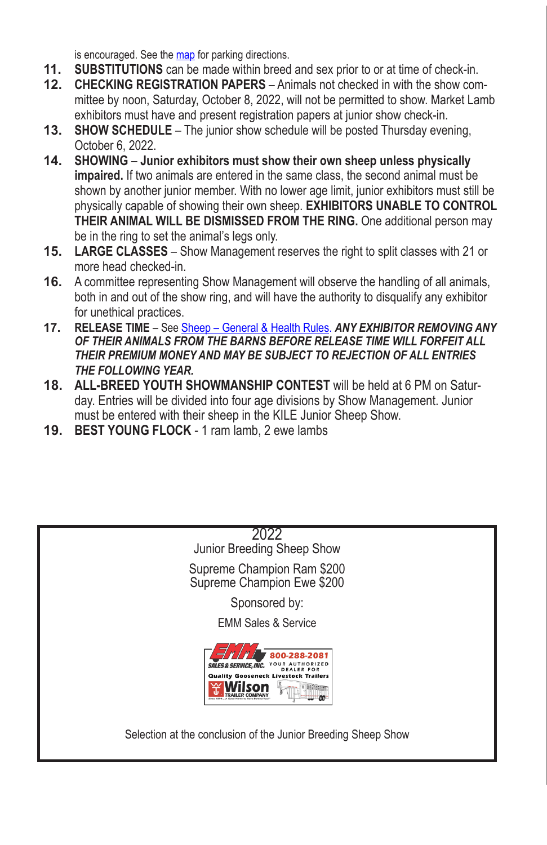is encouraged. See the map for parking directions.

- **11. SUBSTITUTIONS** can be made within breed and sex prior to or at time of check-in.
- **12. CHECKING REGISTRATION PAPERS** Animals not checked in with the show committee by noon, Saturday, October 8, 2022, will not be permitted to show. Market Lamb exhibitors must have and present registration papers at junior show check-in.
- **13. SHOW SCHEDULE** The junior show schedule will be posted Thursday evening, October 6, 2022.
- **14. SHOWING Junior exhibitors must show their own sheep unless physically impaired.** If two animals are entered in the same class, the second animal must be shown by another junior member. With no lower age limit, junior exhibitors must still be physically capable of showing their own sheep. **EXHIBITORS UNABLE TO CONTROL THEIR ANIMAL WILL BE DISMISSED FROM THE RING.** One additional person may be in the ring to set the animal's legs only.
- **15. LARGE CLASSES** Show Management reserves the right to split classes with 21 or more head checked-in.
- **16.** A committee representing Show Management will observe the handling of all animals, both in and out of the show ring, and will have the authority to disqualify any exhibitor for unethical practices.
- **17. RELEASE TIME** See Sheep General & Health Rules. *ANY EXHIBITOR REMOVING ANY OF THEIR ANIMALS FROM THE BARNS BEFORE RELEASE TIME WILL FORFEIT ALL THEIR PREMIUM MONEY AND MAY BE SUBJECT TO REJECTION OF ALL ENTRIES THE FOLLOWING YEAR.*
- **18. ALL-BREED YOUTH SHOWMANSHIP CONTEST** will be held at 6 PM on Saturday. Entries will be divided into four age divisions by Show Management. Junior must be entered with their sheep in the KILE Junior Sheep Show.
- **19. BEST YOUNG FLOCK** 1 ram lamb, 2 ewe lambs

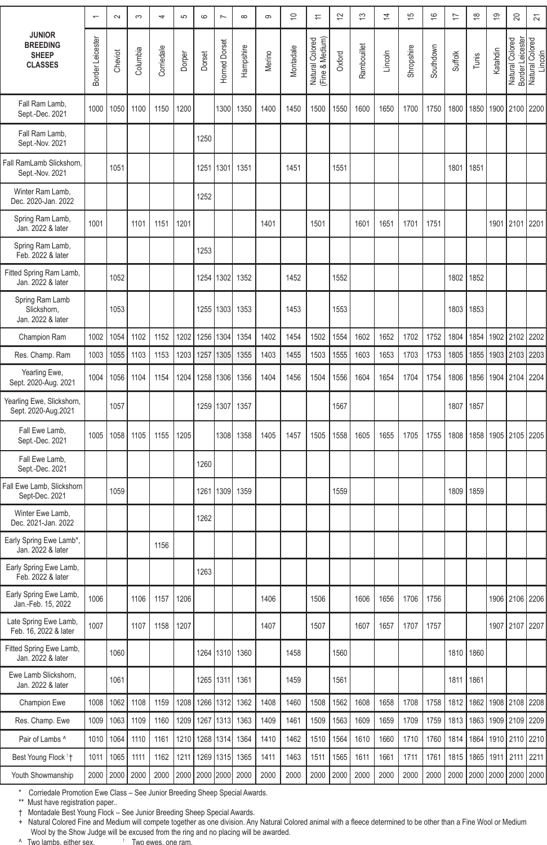|                                                                    |                  | $\sim$  | က        | 4                  | S      | $\circ$   | $\overline{ }$ | $\infty$       | တ      | $\tilde{=}$ | 1                                  | $\overline{2}$ | ొ           | 4       | 15          | $\frac{6}{5}$ | 17             | $\frac{8}{1}$ | 19       | 20                                  | 24                         |
|--------------------------------------------------------------------|------------------|---------|----------|--------------------|--------|-----------|----------------|----------------|--------|-------------|------------------------------------|----------------|-------------|---------|-------------|---------------|----------------|---------------|----------|-------------------------------------|----------------------------|
| <b>JUNIOR</b><br><b>BREEDING</b><br><b>SHEEP</b><br><b>CLASSES</b> | Border Leicester | Cheviot | Columbia | Corriedale         | Dorper | Dorset    | Horned Dorset  | Hampshire      | Merino | Montadale   | Natural Colored<br>(Fine & Medium) | Oxford         | Rambouillet | Lincoln | Shropshire  | Southdown     | <b>Suffolk</b> | Tunis         | Katahdin | Natural Colored<br>Border Leicester | Natural Colored<br>Lincoln |
| Fall Ram Lamb,<br>Sept.-Dec. 2021                                  | 1000             | 1050    | 1100     | 1150               | 1200   |           | 1300           | 1350           | 1400   | 1450        | 1500                               | 1550           | 1600        | 1650    | 1700        | 1750          | 1800           | 1850          | 1900     | 2100                                | 2200                       |
| Fall Ram Lamb,<br>Sept.-Nov. 2021                                  |                  |         |          |                    |        | 1250      |                |                |        |             |                                    |                |             |         |             |               |                |               |          |                                     |                            |
| Fall RamLamb Slickshorn,<br>Sept.-Nov. 2021                        |                  | 1051    |          |                    |        | 1251      | 1301           | 1351           |        | 1451        |                                    | 1551           |             |         |             |               | 1801           | 1851          |          |                                     |                            |
| Winter Ram Lamb,<br>Dec. 2020-Jan. 2022                            |                  |         |          |                    |        | 1252      |                |                |        |             |                                    |                |             |         |             |               |                |               |          |                                     |                            |
| Spring Ram Lamb,<br>Jan. 2022 & later                              | 1001             |         | 1101     | 1151               | 1201   |           |                |                | 1401   |             | 1501                               |                | 1601        | 1651    | 1701        | 1751          |                |               | 1901     | 2101                                | 2201                       |
| Spring Ram Lamb,<br>Feb. 2022 & later                              |                  |         |          |                    |        | 1253      |                |                |        |             |                                    |                |             |         |             |               |                |               |          |                                     |                            |
| Fitted Spring Ram Lamb,<br>Jan. 2022 & later                       |                  | 1052    |          |                    |        | 1254      | 1302           | 1352           |        | 1452        |                                    | 1552           |             |         |             |               | 1802           | 1852          |          |                                     |                            |
| Spring Ram Lamb<br>Slickshorn,<br>Jan. 2022 & later                |                  | 1053    |          |                    |        | 1255      | 1303           | 1353           |        | 1453        |                                    | 1553           |             |         |             |               | 1803           | 1853          |          |                                     |                            |
| Champion Ram                                                       | 1002             | 1054    | 1102     | 1152               | 1202   | 1256      | 1304           | 1354           | 1402   | 1454        | 1502                               | 1554           | 1602        | 1652    | 1702        | 1752          | 1804           | 1854          | 1902     | 2102                                | 2202                       |
| Res. Champ. Ram                                                    | 1003             | 1055    | 1103     | 1153               | 1203   | 1257      | 1305           | 1355           | 1403   | 1455        | 1503                               | 1555           | 1603        | 1653    | 1703        | 1753          | 1805           | 1855          | 1903     | 2103                                | 2203                       |
| Yearling Ewe,<br>Sept. 2020-Aug. 2021                              | 1004             | 1056    | 1104     | 1154               | 1204   | 1258      | 1306           | 1356           | 1404   | 1456        | 1504                               | 1556           | 1604        | 1654    | 1704        | 1754          | 1806           | 1856          | 1904     | 2104                                | 2204                       |
| Yearling Ewe, Slickshorn,<br>Sept. 2020-Aug.2021                   |                  | 1057    |          |                    |        | 1259      | 1307           | 1357           |        |             |                                    | 1567           |             |         |             |               | 1807           | 1857          |          |                                     |                            |
| Fall Ewe Lamb,<br>Sept.-Dec. 2021                                  | 1005             | 1058    | 1105     | 1155               | 1205   |           | 1308           | 1358           | 1405   | 1457        | 1505                               | 1558           | 1605        | 1655    | 1705        | 1755          | 1808           | 1858          | 1905     | 2105                                | 2205                       |
| Fall Ewe Lamb,<br>Sept.-Dec. 2021                                  |                  |         |          |                    |        | 1260      |                |                |        |             |                                    |                |             |         |             |               |                |               |          |                                     |                            |
| Fall Ewe Lamb, Slickshorn<br>Sept-Dec. 2021                        |                  | 1059    |          |                    |        | 1261      | 1309           | 1359           |        |             |                                    | 1559           |             |         |             |               | 1809           | 1859          |          |                                     |                            |
| Winter Ewe Lamb,<br>Dec. 2021-Jan. 2022                            |                  |         |          |                    |        | 1262      |                |                |        |             |                                    |                |             |         |             |               |                |               |          |                                     |                            |
| Early Spring Ewe Lamb*,<br>Jan. 2022 & later                       |                  |         |          | 1156               |        |           |                |                |        |             |                                    |                |             |         |             |               |                |               |          |                                     |                            |
| Early Spring Ewe Lamb,<br>Feb. 2022 & later                        |                  |         |          |                    |        | 1263      |                |                |        |             |                                    |                |             |         |             |               |                |               |          |                                     |                            |
| Early Spring Ewe Lamb,<br>Jan.-Feb. 15, 2022                       | 1006             |         | 1106     | 1157               | 1206   |           |                |                | 1406   |             | 1506                               |                | 1606        | 1656    | 1706        | 1756          |                |               | 1906     | 2106                                | 2206                       |
| Late Spring Ewe Lamb,<br>Feb. 16, 2022 & later                     | 1007             |         |          | 1107   1158   1207 |        |           |                |                | 1407   |             | 1507                               |                | 1607   1657 |         | 1707   1757 |               |                |               |          | 1907 2107 2207                      |                            |
| Fitted Spring Ewe Lamb,<br>Jan. 2022 & later                       |                  | 1060    |          |                    |        |           |                | 1264 1310 1360 |        | 1458        |                                    | 1560           |             |         |             |               | 1810           | 1860          |          |                                     |                            |
| Ewe Lamb Slickshorn,<br>Jan. 2022 & later                          |                  | 1061    |          |                    |        |           | 1265 1311      | 1361           |        | 1459        |                                    | 1561           |             |         |             |               | 1811           | 1861          |          |                                     |                            |
| Champion Ewe                                                       | 1008             | 1062    | 1108     | 1159               | 1208   | 1266      | 1312           | 1362           | 1408   | 1460        | 1508                               | 1562           | 1608        | 1658    | 1708        | 1758          | 1812           | 1862          | 1908     | 2108 2208                           |                            |
| Res. Champ. Ewe                                                    | 1009             | 1063    | 1109     | 1160               | 1209   | 1267      | 1313           | 1363           | 1409   | 1461        | 1509                               | 1563           | 1609        | 1659    | 1709        | 1759          | 1813           | 1863          | 1909     | 2109 2209                           |                            |
| Pair of Lambs ^                                                    | 1010             | 1064    | 1110     | 1161               | 1210   | 1268      | 1314           | 1364           | 1410   | 1462        | 1510                               | 1564           | 1610        | 1660    | 1710        | 1760          | 1814           | 1864          | 1910     | 2110 2210                           |                            |
| Best Young Flock '†                                                | 1011             | 1065    | 1111     | 1162               | 1211   | 1269      | 1315           | 1365           | 1411   | 1463        | 1511                               | 1565           | 1611        | 1661    | 1711        | 1761          | 1815           | 1865          | 1911     | 2111                                | 2211                       |
| Youth Showmanship                                                  | 2000             | 2000    | 2000     | 2000               | 2000   | 2000 2000 |                | 2000           | 2000   | 2000        | 2000                               | 2000           | 2000        | 2000    | 2000        | 2000          | 2000           | 2000          | 2000     |                                     | 2000 2000                  |

\* Corriedale Promotion Ewe Class – See Junior Breeding Sheep Special Awards.

\*\* Must have registration paper..<br>† Montadale Best Young Flock – See Junior Breeding Sheep Special Awards.<br>+ Natural Colored Fine and Medium will compete together as one division. Any Natural Colored animal with a flecce Wool by the Show Judge will be excused from the ring and no placing will be awarded.

^ Two lambs, either sex Two ewes, one ram.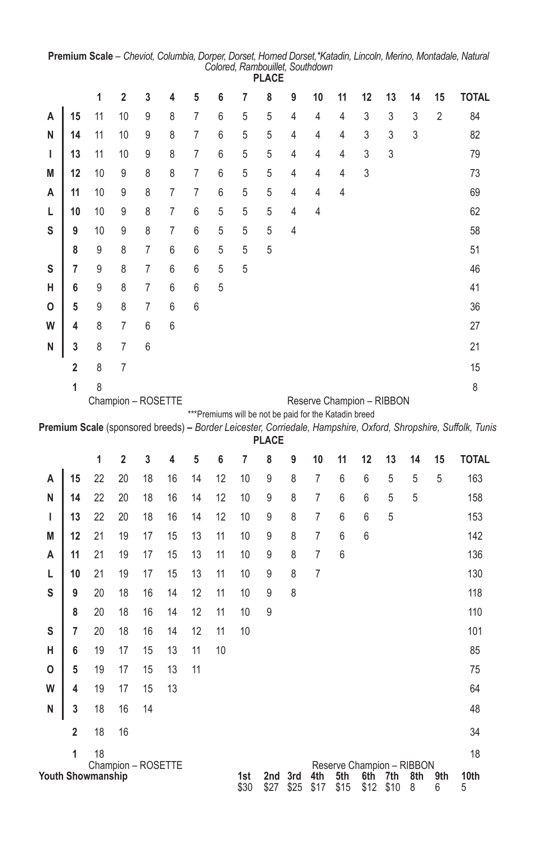| PLACE                   |    |                         |                |                |                    |    |    |   |                |                |                |                           |                                                        |    |                           |                                                                                                                |
|-------------------------|----|-------------------------|----------------|----------------|--------------------|----|----|---|----------------|----------------|----------------|---------------------------|--------------------------------------------------------|----|---------------------------|----------------------------------------------------------------------------------------------------------------|
|                         | 1  | $\overline{\mathbf{2}}$ | 3              | 4              | 5                  | 6  | 7  | 8 | 9              | 10             | 11             | 12                        | 13                                                     | 14 | 15                        | <b>TOTAL</b>                                                                                                   |
| 15                      | 11 | 10                      | 9              | 8              | 7                  | 6  | 5  | 5 | 4              | 4              | 4              | 3                         | 3                                                      | 3  | 2                         | 84                                                                                                             |
| 14                      | 11 | 10                      | 9              | 8              | $\overline{7}$     | 6  | 5  | 5 | 4              | 4              | 4              | 3                         | 3                                                      | 3  |                           | 82                                                                                                             |
| 13                      | 11 | 10                      | 9              | 8              | $\overline{7}$     | 6  | 5  | 5 | $\overline{4}$ | 4              | $\overline{4}$ | 3                         | 3                                                      |    |                           | 79                                                                                                             |
| 12                      | 10 | 9                       | 8              | 8              | $\overline{7}$     | 6  | 5  | 5 | $\overline{4}$ | $\overline{4}$ | $\overline{4}$ | 3                         |                                                        |    |                           | 73                                                                                                             |
| 11                      | 10 | 9                       | 8              | 7              | 7                  | 6  | 5  | 5 | $\overline{4}$ | $\overline{4}$ | $\overline{4}$ |                           |                                                        |    |                           | 69                                                                                                             |
| 10                      | 10 | 9                       | 8              | $\overline{7}$ | 6                  | 5  | 5  | 5 | $\overline{4}$ | $\overline{4}$ |                |                           |                                                        |    |                           | 62                                                                                                             |
| 9                       | 10 | 9                       | 8              | 7              | 6                  | 5  | 5  | 5 | $\overline{4}$ |                |                |                           |                                                        |    |                           | 58                                                                                                             |
| 8                       | 9  | 8                       | 7              | 6              | 6                  | 5  | 5  | 5 |                |                |                |                           |                                                        |    |                           | 51                                                                                                             |
| 7                       | 9  | 8                       | $\overline{7}$ | 6              | 6                  | 5  | 5  |   |                |                |                |                           |                                                        |    |                           | 46                                                                                                             |
| 6                       | 9  | 8                       | 7              | 6              | 6                  | 5  |    |   |                |                |                |                           |                                                        |    |                           | 41                                                                                                             |
| 5                       | 9  | 8                       | 7              | 6              | 6                  |    |    |   |                |                |                |                           |                                                        |    |                           | 36                                                                                                             |
| 4                       | 8  | $\overline{7}$          | 6              | 6              |                    |    |    |   |                |                |                |                           |                                                        |    |                           | 27                                                                                                             |
| 3                       | 8  | $\overline{7}$          | 6              |                |                    |    |    |   |                |                |                |                           |                                                        |    |                           | 21                                                                                                             |
| $\overline{\mathbf{c}}$ | 8  | $\overline{7}$          |                |                |                    |    |    |   |                |                |                |                           |                                                        |    |                           | 15                                                                                                             |
| 1                       | 8  |                         |                |                |                    |    |    |   |                |                |                |                           |                                                        |    |                           | 8                                                                                                              |
|                         |    |                         |                |                |                    |    |    |   |                |                |                |                           |                                                        |    |                           |                                                                                                                |
|                         |    |                         |                |                |                    |    |    |   |                |                |                |                           |                                                        |    |                           |                                                                                                                |
|                         |    |                         |                |                |                    |    |    |   |                |                |                |                           |                                                        |    |                           |                                                                                                                |
|                         | 1  | 2                       | 3              | 4              | 5                  | 6  | 7  | 8 | 9              | 10             | 11             | 12                        | 13                                                     | 14 | 15                        | <b>TOTAL</b>                                                                                                   |
| 15                      | 22 | 20                      | 18             | 16             | 14                 | 12 | 10 | 9 | 8              | $\overline{7}$ | 6              | 6                         | 5                                                      | 5  | 5                         | 163                                                                                                            |
| 14                      | 22 | 20                      | 18             | 16             | 14                 | 12 | 10 | 9 | 8              | $\overline{7}$ | 6              | 6                         | 5                                                      | 5  |                           | 158                                                                                                            |
| 13                      | 22 | 20                      | 18             | 16             | 14                 | 12 | 10 | 9 | 8              | $\overline{7}$ | 6              | 6                         | 5                                                      |    |                           | 153                                                                                                            |
| 12                      | 21 | 19                      | 17             | 15             | 13                 | 11 | 10 | 9 | 8              | $\overline{7}$ | 6              | 6                         |                                                        |    |                           | 142                                                                                                            |
| 11                      | 21 | 19                      | 17             | 15             | 13                 | 11 | 10 | 9 | 8              | $\overline{7}$ | 6              |                           |                                                        |    |                           | 136                                                                                                            |
| 10                      | 21 | 19                      | 17             | 15             | 13                 | 11 | 10 | 9 | 8              | 7              |                |                           |                                                        |    |                           | 130                                                                                                            |
| 9                       | 20 | 18                      | 16             | 14             | 12                 | 11 | 10 | 9 | 8              |                |                |                           |                                                        |    |                           | 118                                                                                                            |
| 8                       | 20 | 18                      | 16             | 14             | 12                 | 11 | 10 | 9 |                |                |                |                           |                                                        |    |                           | 110                                                                                                            |
| 7                       | 20 | 18                      | 16             | 14             | 12                 | 11 | 10 |   |                |                |                |                           |                                                        |    |                           | 101                                                                                                            |
| 6                       | 19 | 17                      | 15             | 13             | 11                 | 10 |    |   |                |                |                |                           |                                                        |    |                           | 85                                                                                                             |
| 5                       | 19 | 17                      | 15             | 13             | 11                 |    |    |   |                |                |                |                           |                                                        |    |                           | 75                                                                                                             |
| 4                       | 19 | 17                      | 15             | 13             |                    |    |    |   |                |                |                |                           |                                                        |    |                           | 64                                                                                                             |
| 3                       | 18 | 16                      | 14             |                |                    |    |    |   |                |                |                |                           |                                                        |    |                           | 48                                                                                                             |
|                         | 18 | 16                      |                |                |                    |    |    |   |                |                |                |                           |                                                        |    |                           | 34                                                                                                             |
| 2                       |    |                         |                |                |                    |    |    |   |                |                |                |                           |                                                        |    |                           |                                                                                                                |
| 1                       | 18 | Champion - ROSETTE      |                |                |                    |    |    |   |                |                |                | Reserve Champion - RIBBON |                                                        |    |                           | 18                                                                                                             |
|                         |    |                         |                |                | Champion - ROSETTE |    |    |   |                | <b>PLACE</b>   |                |                           | *** Premiums will be not be paid for the Katadin breed |    | Reserve Champion - RIBBON | Premium Scale (sponsored breeds) - Border Leicester, Corriedale, Hampshire, Oxford, Shropshire, Suffolk, Tunis |

**Premium Scale** – *Cheviot, Columbia, Dorper, Dorset, Horned Dorset,\*Katadin, Lincoln, Merino, Montadale, Natural Colored, Rambouillet, Southdown* **PLACE**